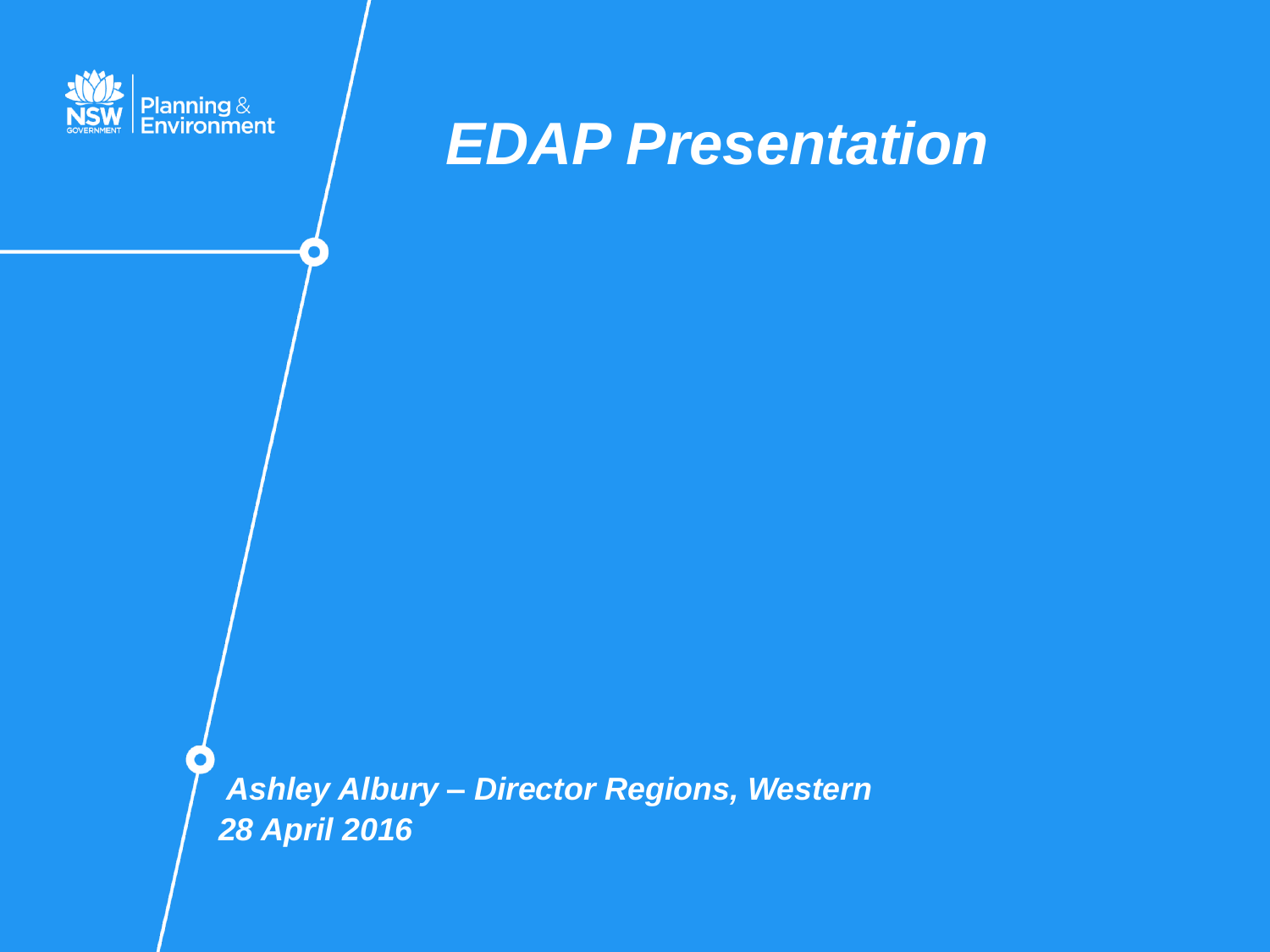

### *EDAP Presentation*

*Ashley Albury – Director Regions, Western 28 April 2016*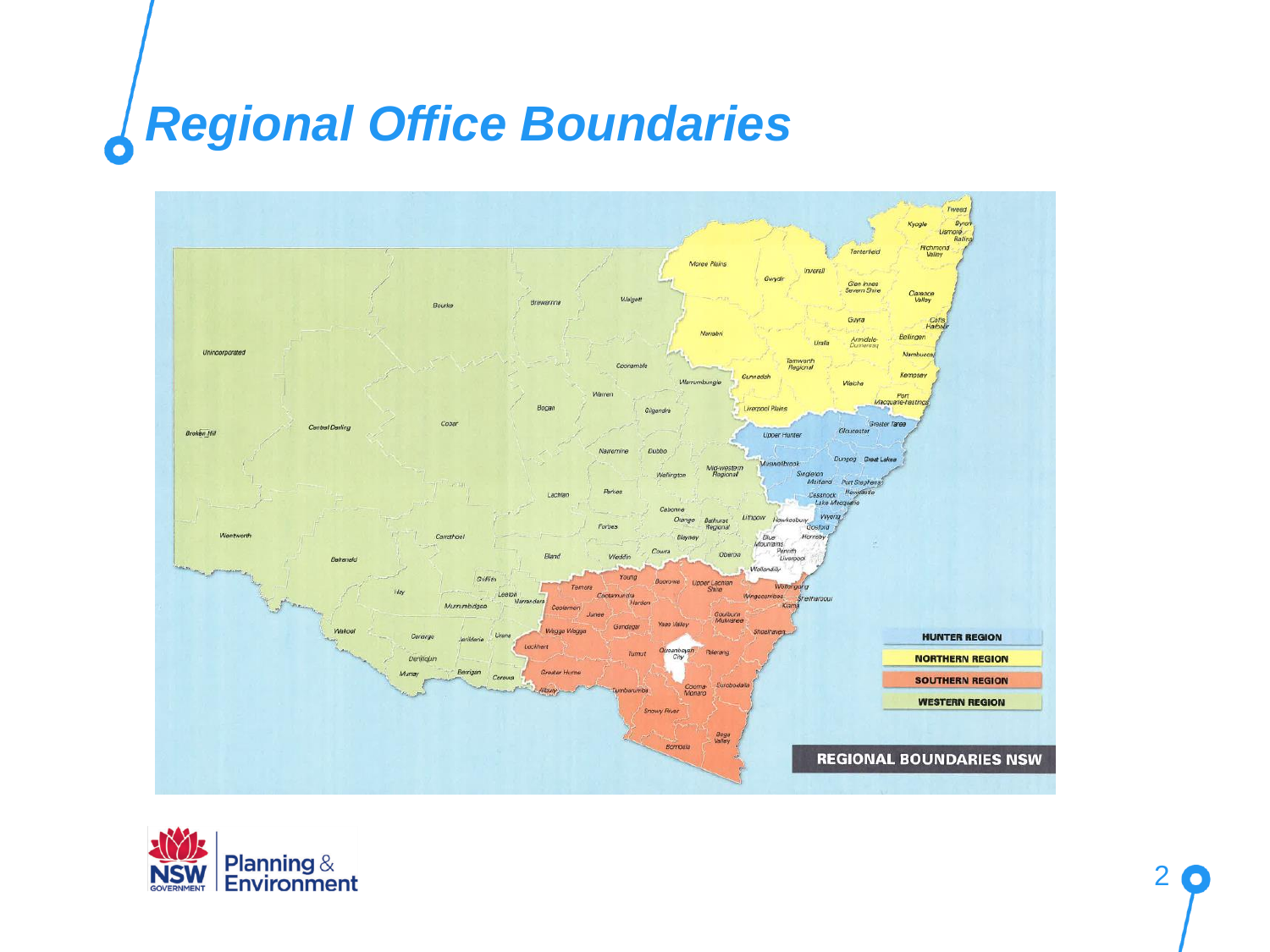## *Regional Office Boundaries*



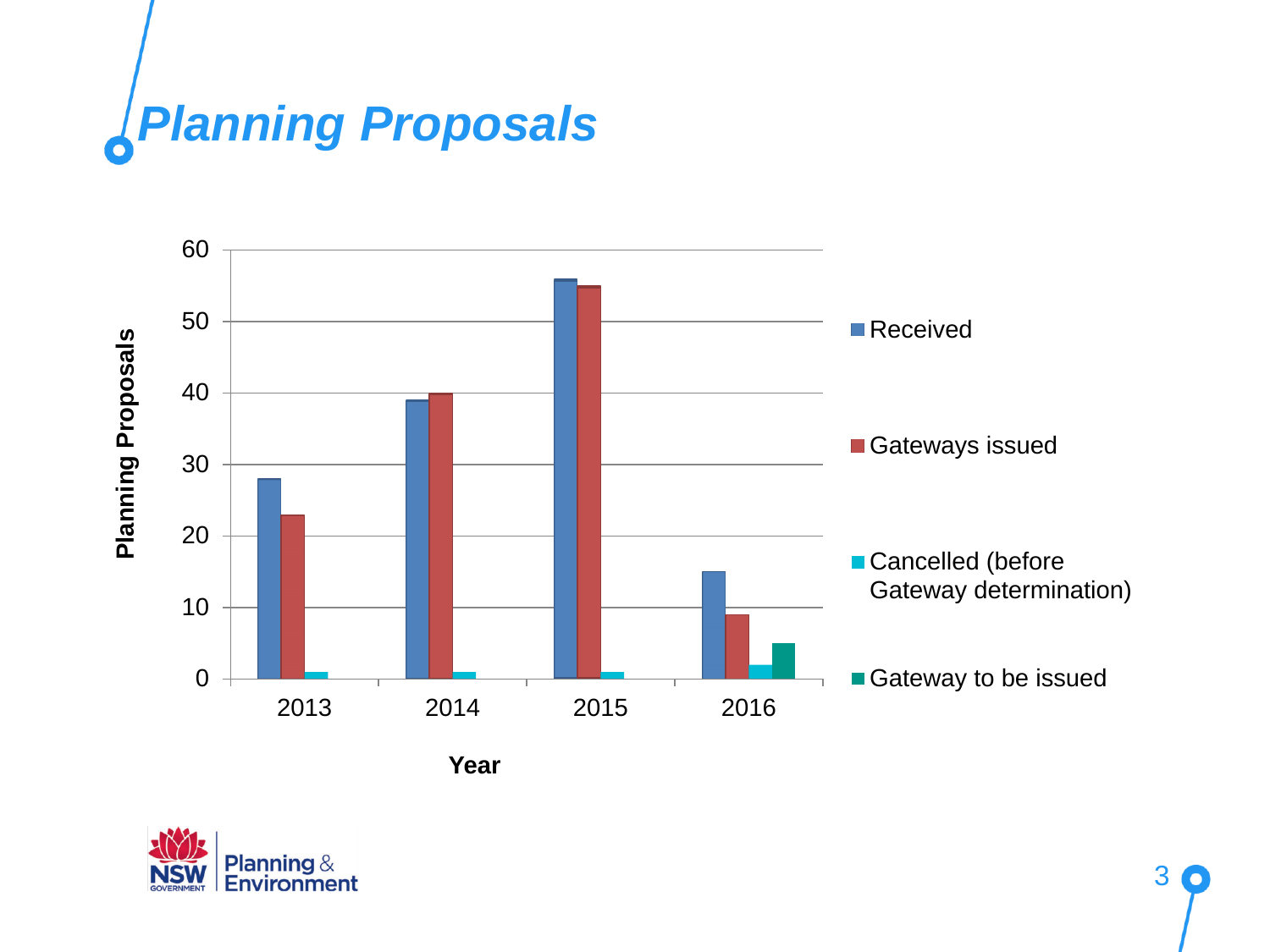



**Year**

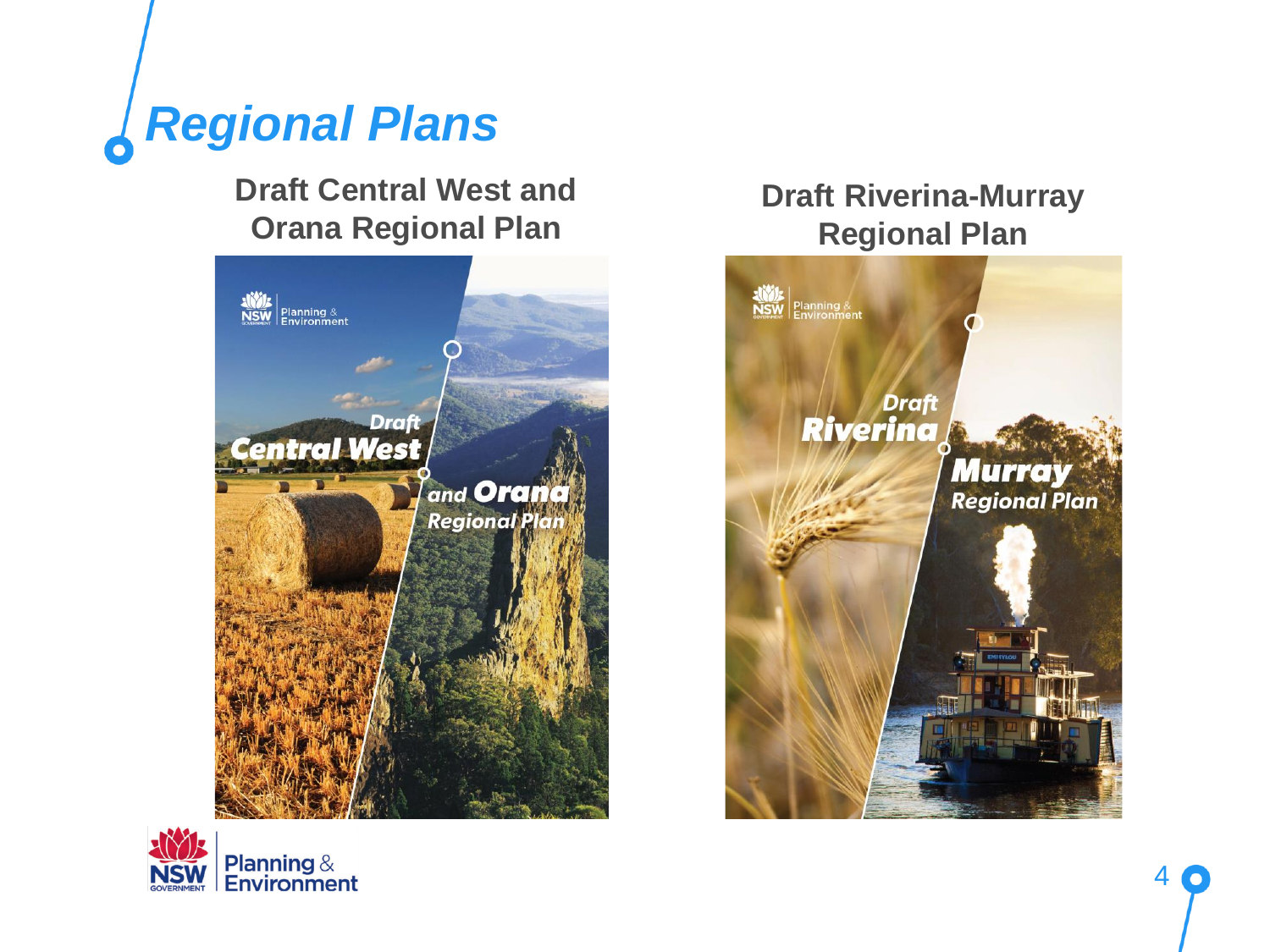

#### **Draft Central West and Orana Regional Plan**





#### **Draft Riverina-Murray Regional Plan**

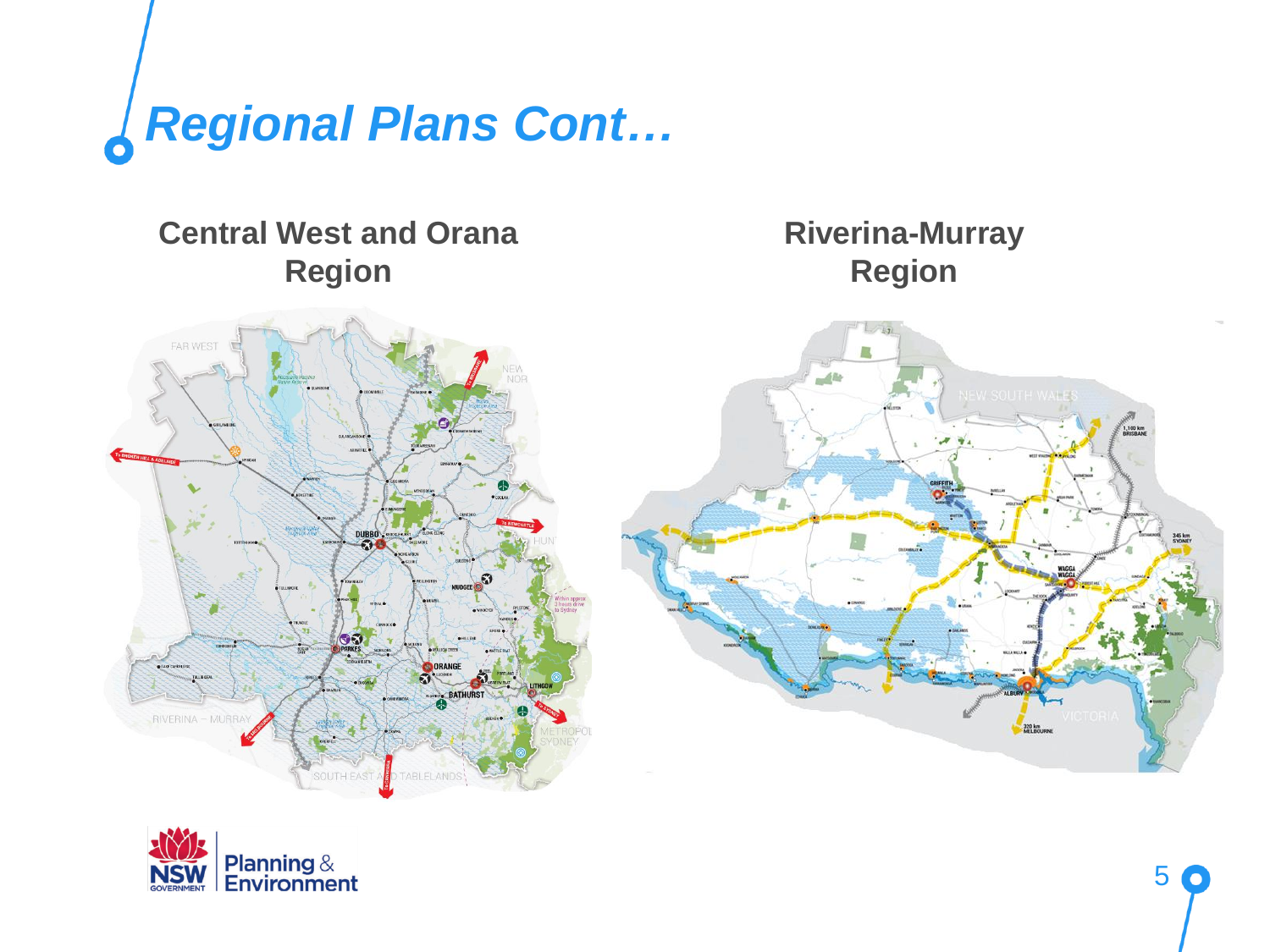

### **Riverina-Murray Central West and Orana RegionRegion**  $-4k$ W SOUTH WALL OF ORANGE RIVERINA - MURRA TABLELANDS<sup>'</sup>

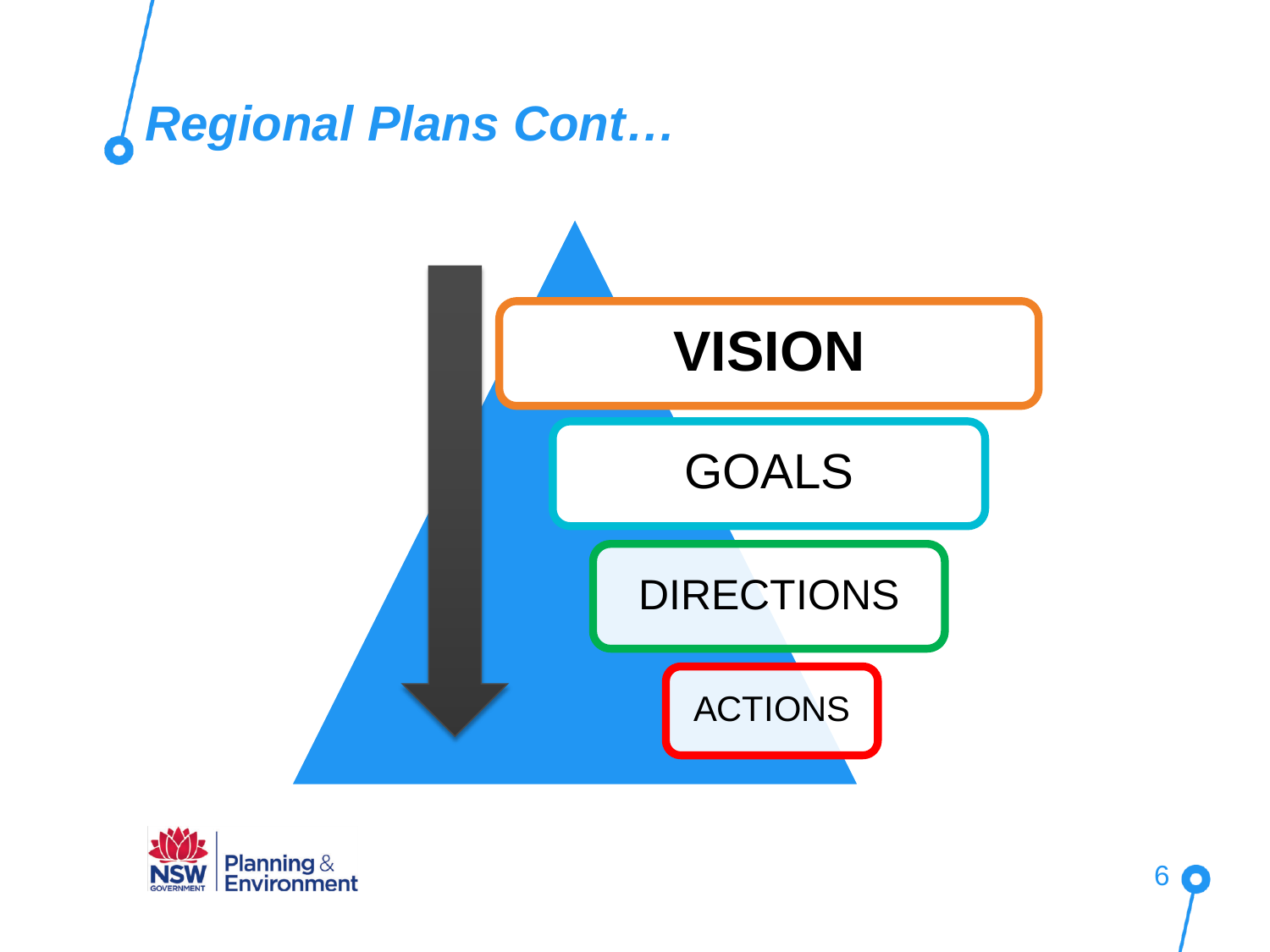



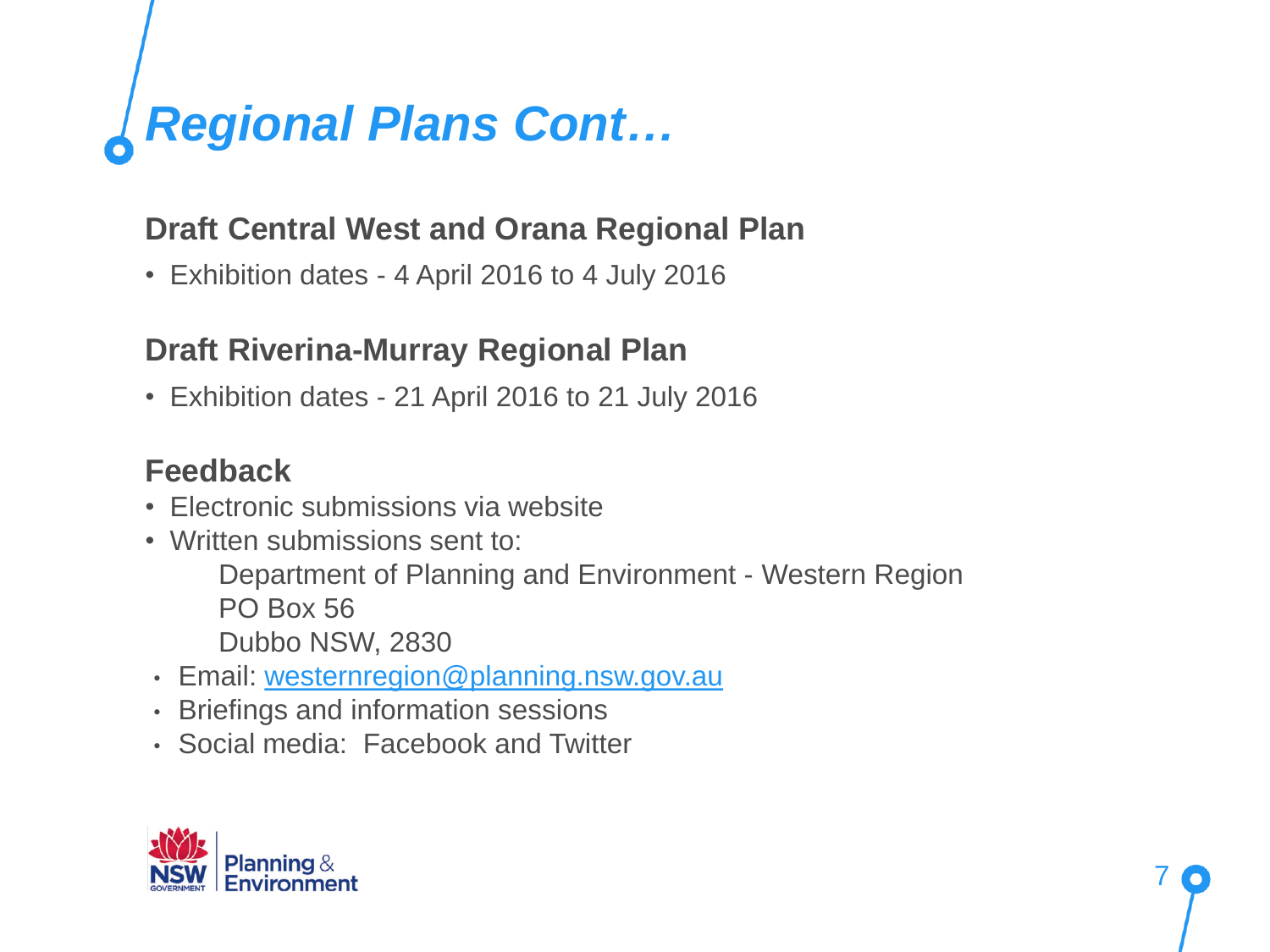# *Regional Plans Cont…*

#### **Draft Central West and Orana Regional Plan**

• Exhibition dates - 4 April 2016 to 4 July 2016

#### **Draft Riverina-Murray Regional Plan**

• Exhibition dates - 21 April 2016 to 21 July 2016

#### **Feedback**

- Electronic submissions via website
- Written submissions sent to:
	- Department of Planning and Environment Western Region PO Box 56
	- Dubbo NSW, 2830
- Email: [westernregion@planning.nsw.gov.au](mailto:westernregion@planning.nsw.gov.au)
- Briefings and information sessions
- Social media: Facebook and Twitter

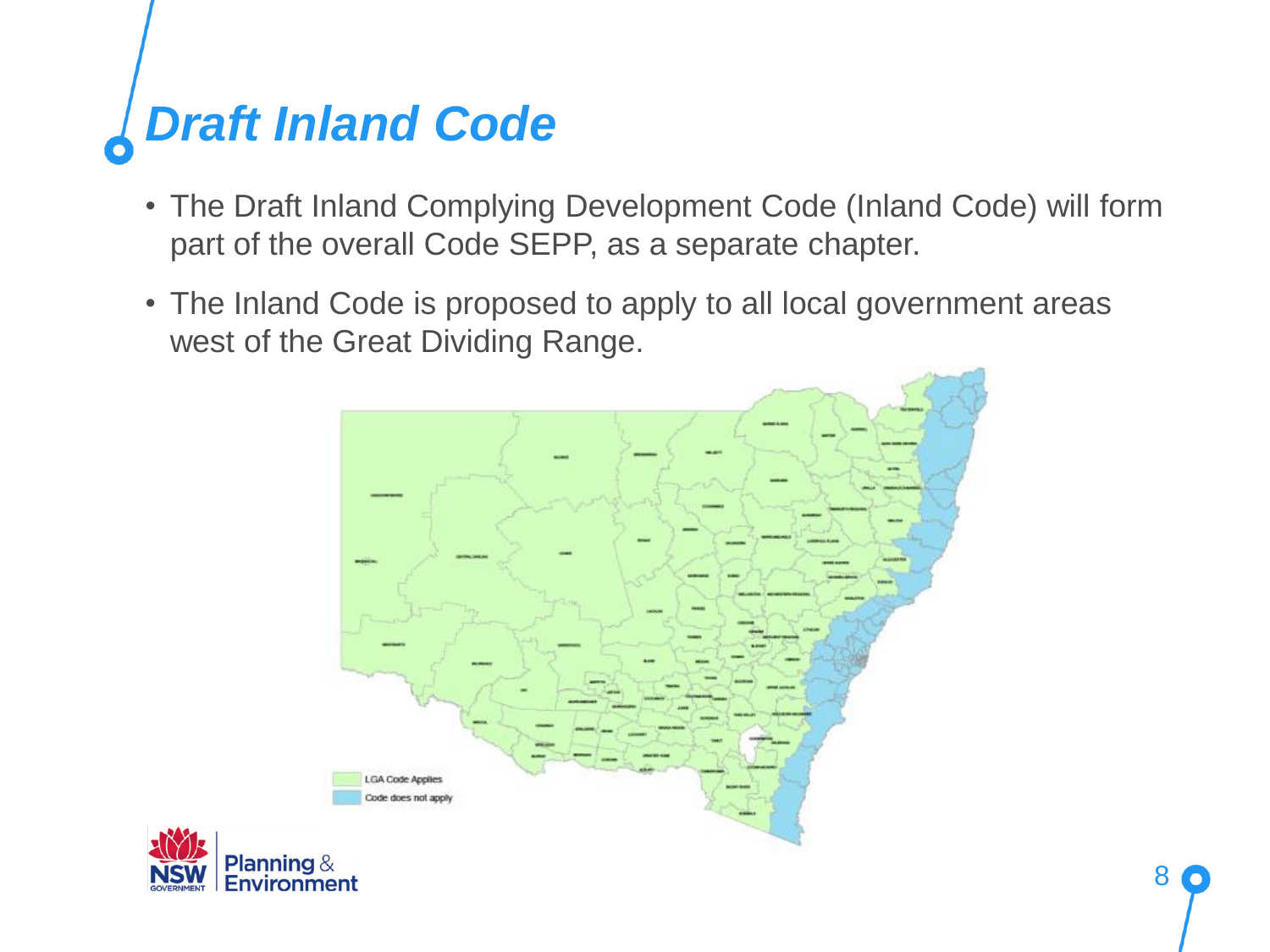# *Draft Inland Code*

- The Draft Inland Complying Development Code (Inland Code) will form part of the overall Code SEPP, as a separate chapter.
- The Inland Code is proposed to apply to all local government areas west of the Great Dividing Range.

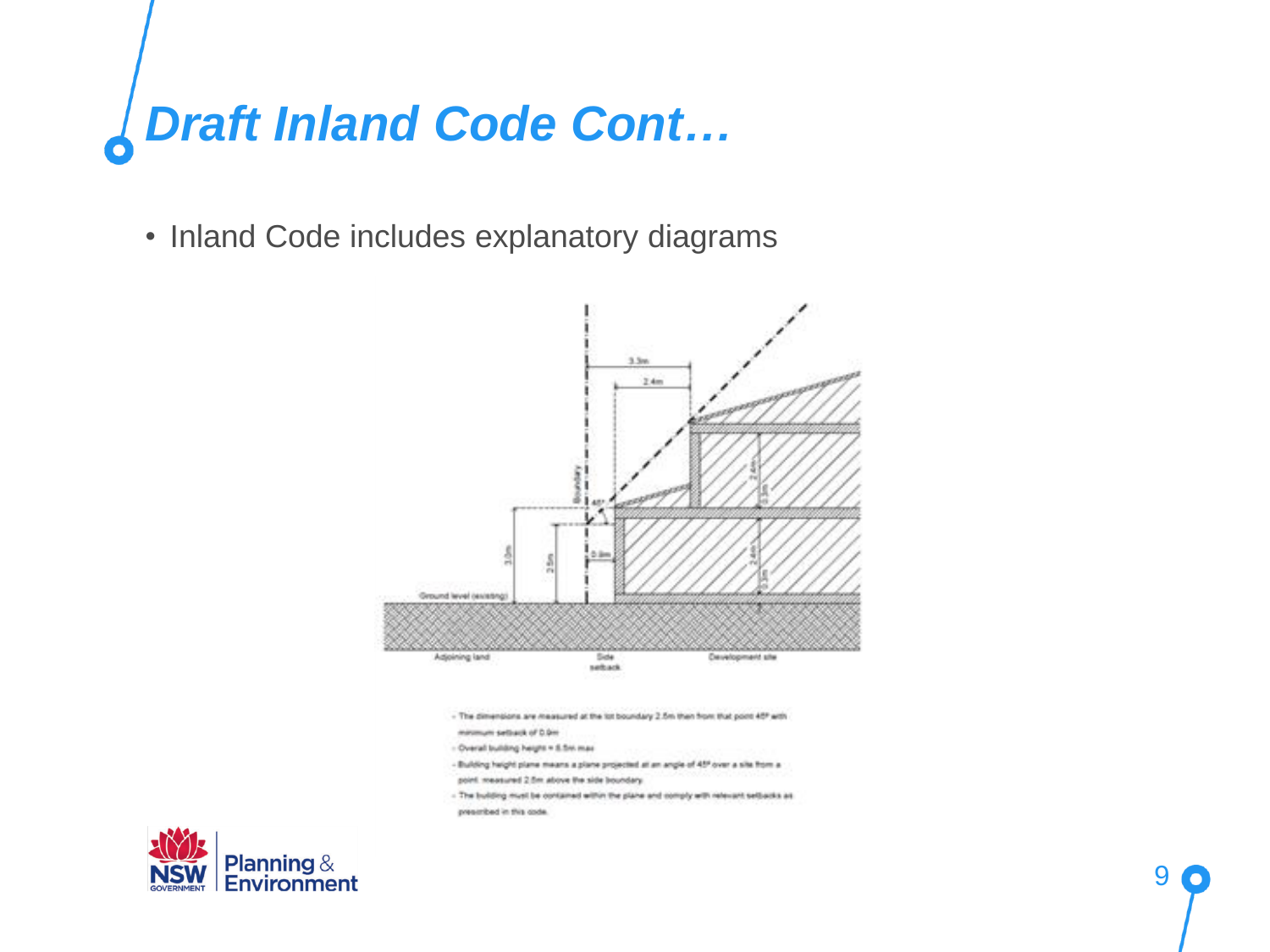# Draft Inland Code Cont...

• Inland Code includes explanatory diagrams



- The dimensions are measured at the lot boundary 2.5m than from that point 40° with
- minimum settapk of 0.0m
- Overall building height = 5.5m max
- Building height plane means a plane projected at an angle of 45° over a site from a
- point measured 2.5m above the side boundary.
- The building must be contained within the plane and comply with referant setbacks as prescribed in this code.

9

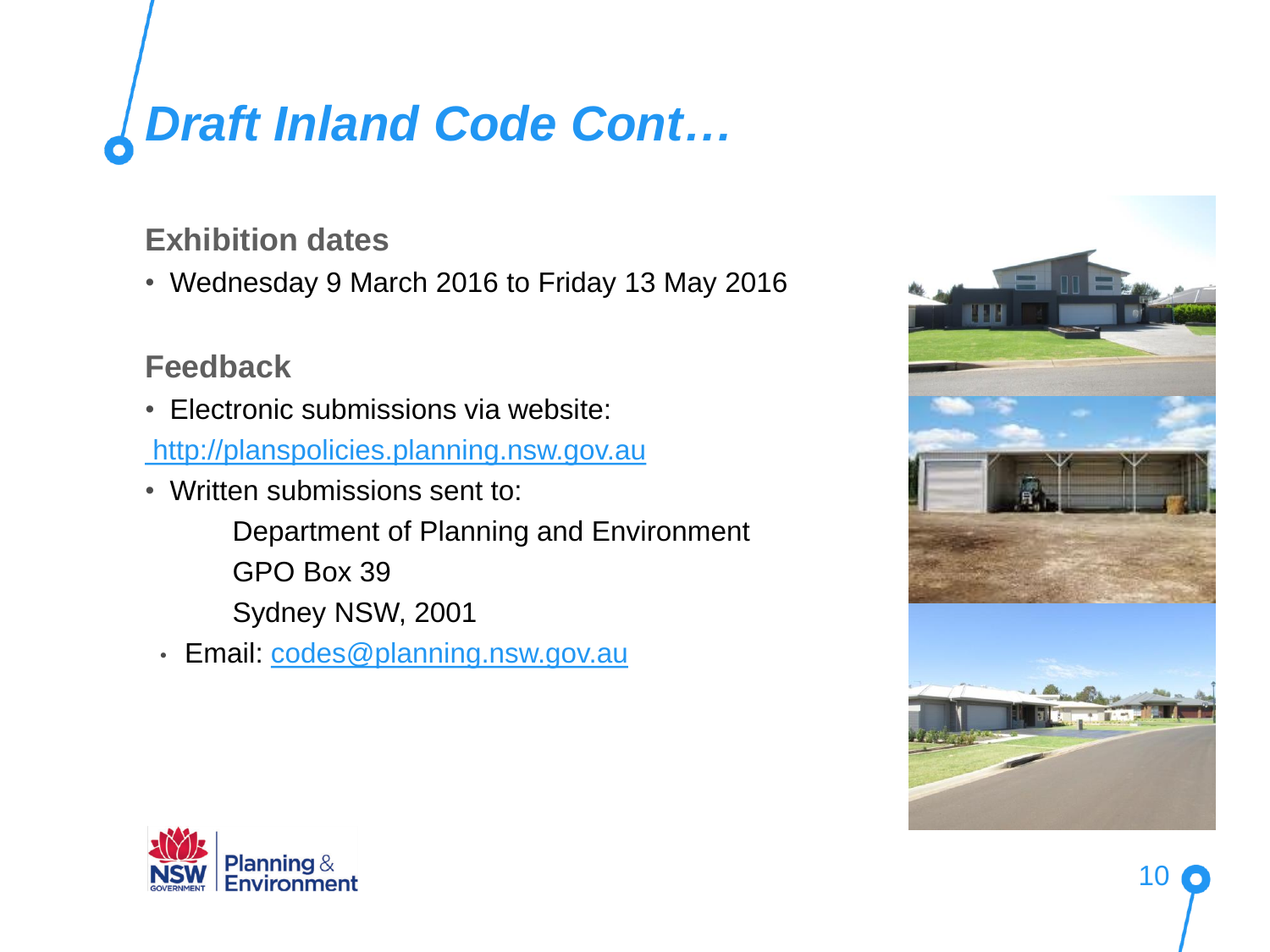## *Draft Inland Code Cont…*

#### **Exhibition dates**

• Wednesday 9 March 2016 to Friday 13 May 2016

#### **Feedback**

• Electronic submissions via website:

[http://planspolicies.planning.nsw.gov.au](http://planspolicies.planning.nsw.gov.au/)

- Written submissions sent to:
	- Department of Planning and Environment
	- GPO Box 39
	- Sydney NSW, 2001
	- Email: [codes@planning.nsw.gov.au](mailto:codes@planning.nsw.gov.au)



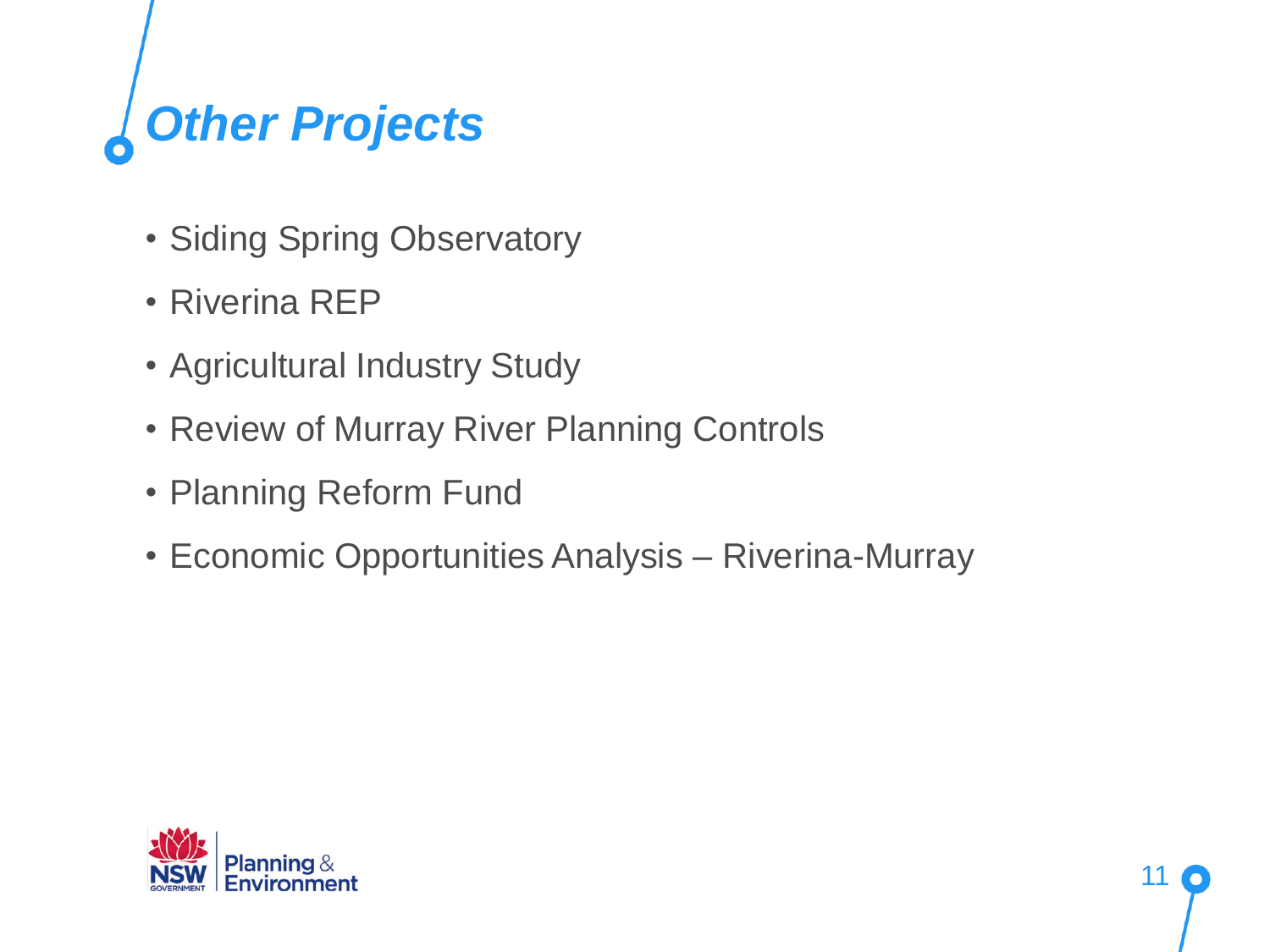# *Other Projects*

- Siding Spring Observatory
- Riverina REP
- Agricultural Industry Study
- Review of Murray River Planning Controls
- Planning Reform Fund
- Economic Opportunities Analysis Riverina-Murray